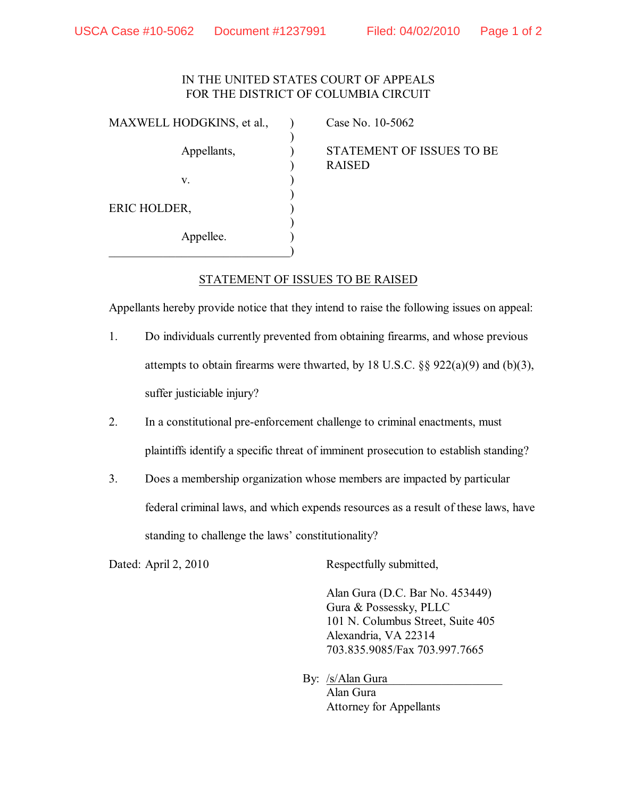## IN THE UNITED STATES COURT OF APPEALS FOR THE DISTRICT OF COLUMBIA CIRCUIT

| MAXWELL HODGKINS, et al., |  |
|---------------------------|--|
| Appellants,               |  |
| V.                        |  |
| ERIC HOLDER,              |  |
| Appellee.                 |  |
|                           |  |

Case No. 10-5062

STATEMENT OF ISSUES TO BE ) RAISED

## STATEMENT OF ISSUES TO BE RAISED

Appellants hereby provide notice that they intend to raise the following issues on appeal:

- 1. Do individuals currently prevented from obtaining firearms, and whose previous attempts to obtain firearms were thwarted, by 18 U.S.C.  $\S$ § 922(a)(9) and (b)(3), suffer justiciable injury?
- 2. In a constitutional pre-enforcement challenge to criminal enactments, must plaintiffs identify a specific threat of imminent prosecution to establish standing?
- 3. Does a membership organization whose members are impacted by particular federal criminal laws, and which expends resources as a result of these laws, have standing to challenge the laws' constitutionality?

Dated: April 2, 2010 Respectfully submitted,

Alan Gura (D.C. Bar No. 453449) Gura & Possessky, PLLC 101 N. Columbus Street, Suite 405 Alexandria, VA 22314 703.835.9085/Fax 703.997.7665

By: /s/Alan Gura Alan Gura Attorney for Appellants